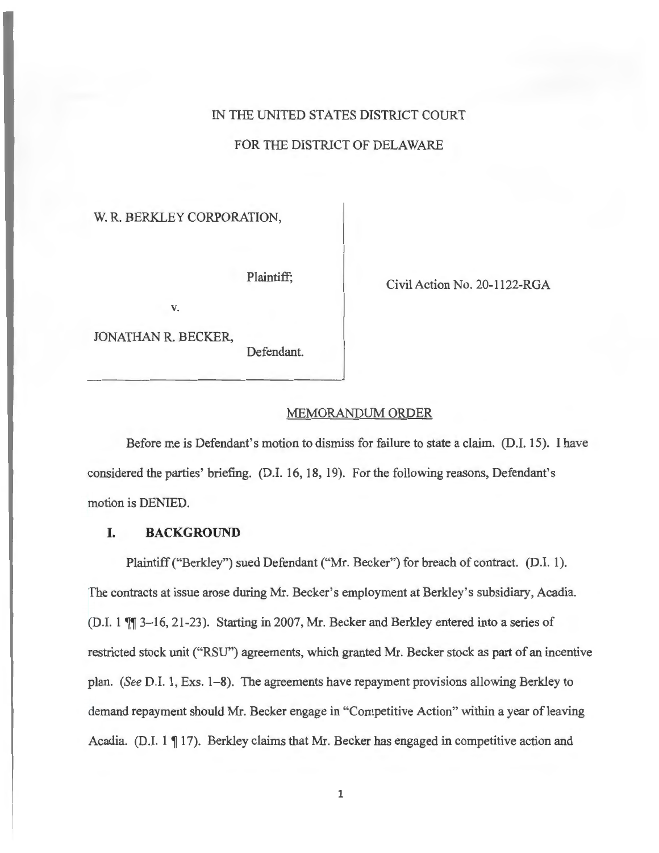## IN THE UNITED STATES DISTRICT COURT

## FOR THE DISTRICT OF DELAWARE

### W. R. BERKLEY CORPORATION,

V.

JONATHAN R. BECKER,

Defendant.

Plaintiff;<br>Civil Action No. 20-1122-RGA

#### MEMORANDUM ORDER

Before me is Defendant's motion to dismiss for failure to state a claim. (D.I. 15). I have considered the parties' briefing. (D.I. 16, 18, 19). For the following reasons, Defendant's motion is DENIED.

#### **I. BACKGROUND**

Plaintiff ("Berkley") sued Defendant ("Mr. Becker") for breach of contract. (D.I. 1). The contracts at issue arose during Mr. Becker's employment at Berkley's subsidiary, Acadia. (D.I.  $1 \parallel 3-16$ , 21-23). Starting in 2007, Mr. Becker and Berkley entered into a series of restricted stock unit ("RSU") agreements, which granted Mr. Becker stock as part of an incentive plan. *(See* D.I. 1, Exs. 1-8). The agreements have repayment provisions allowing Berkley to demand repayment should Mr. Becker engage in "Competitive Action" within a year of leaving Acadia. (D.I.  $1 \parallel 17$ ). Berkley claims that Mr. Becker has engaged in competitive action and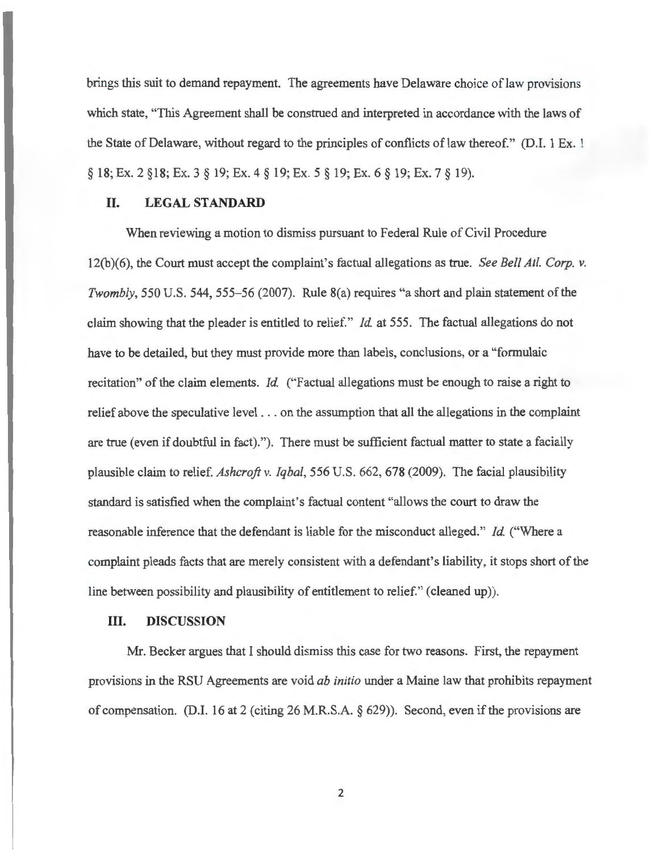brings this suit to demand repayment. The agreements have Delaware choice of law provisions which state, "This Agreement shall be construed and interpreted in accordance with the laws of the State of Delaware, without regard to the principles of conflicts of law thereof." (D.I. 1 Ex. 1 § 18; Ex. 2 §18; Ex. 3 § 19; Ex. 4 § 19; Ex. 5 § 19; Ex. 6 § 19; Ex. 7 § 19).

## **II. LEGAL STANDARD**

When reviewing a motion to dismiss pursuant to Federal Rule of Civil Procedure 12(b)(6), the Court must accept the complaint's factual allegations as true. *See Bell Atl. Corp. v. Twombly,* 550 U.S. 544, 555-56 (2007). Rule 8(a) requires "a short and plain statement of the claim showing that the pleader is entitled to relief." *Id.* at 555. The factual allegations do not have to be detailed, but they must provide more than labels, conclusions, or a "formulaic recitation" of the claim elements. *Id.* ("Factual allegations must be enough to raise a right to relief above the speculative level . . . on the assumption that all the allegations in the complaint are true (even if doubtful in fact). "). There must be sufficient factual matter to state a facially plausible claim to relief. *Ashcroft v. Iqbal,* 556 U.S. 662, 678 (2009). The facial plausibility standard is satisfied when the complaint's factual content "allows the court to draw the reasonable inference that the defendant is liable for the misconduct alleged." *Id.* ("Where a complaint pleads facts that are merely consistent with a defendant's liability, it stops short of the line between possibility and plausibility of entitlement to relief." ( cleaned up)).

#### **III. DISCUSSION**

Mr. Becker argues that I should dismiss this case for two reasons. First, the repayment provisions in the RSU Agreements are void *ab initio* under a Maine law that prohibits repayment of compensation. (D.I. 16 at 2 (citing 26 M.R.S.A. § 629)). Second, even if the provisions are

2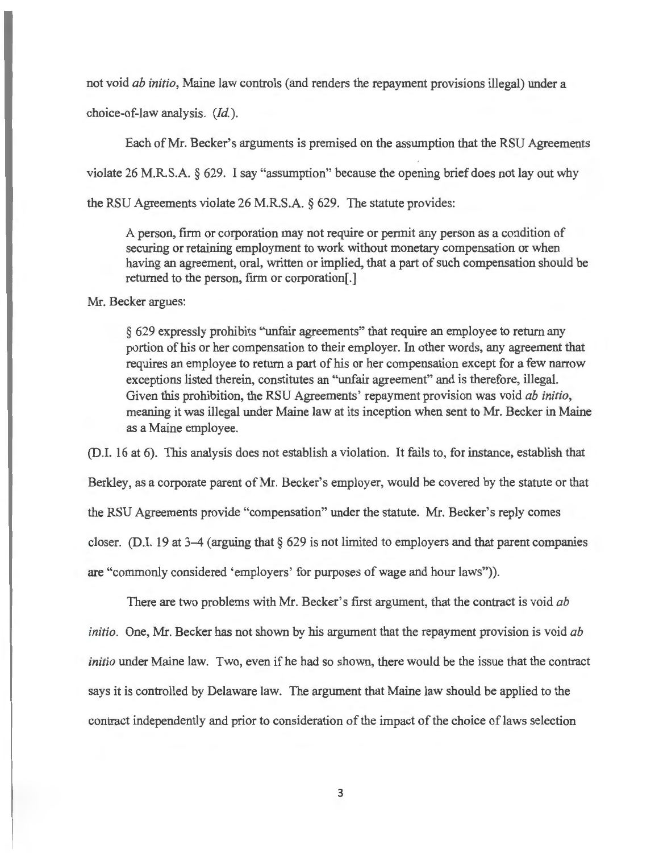not void *ab initio,* Maine law controls (and renders the repayment provisions illegal) under a choice-of-law analysis. *(Id. ).* 

Each of Mr. Becker's arguments is premised on the assumption that the RSU Agreements violate 26 M.R.S.A. § 629. I say "assumption" because the opening brief does not lay out why the RSU Agreements violate 26 M.R.S.A. § 629. The statute provides:

A person, firm or corporation may not require or permit any person as a condition of securing or retaining employment to work without monetary compensation or when having an agreement, oral, written or implied, that a part of such compensation should be returned to the person, firm or corporation[.]

Mr. Becker argues:

§ 629 expressly prohibits "unfair agreements" that require an employee to return any portion of his or her compensation to their employer. In other words, any agreement that requires an employee to return a part of his or her compensation except for a few narrow exceptions listed therein, constitutes an "unfair agreement" and is therefore, illegal. Given this prohibition, the RSU Agreements' repayment provision was void *ab initio,*  meaning it was illegal under Maine law at its inception when sent to Mr. Becker in Maine as a Maine employee.

(D.I. 16 at 6). This analysis does not establish a violation. It fails to, for instance, establish that Berkley, as a corporate parent of Mr. Becker's employer, would be covered by the statute or that the RSU Agreements provide "compensation" under the statute. Mr. Becker's reply comes closer. (D.I. 19 at 3-4 (arguing that § 629 is not limited to employers and that parent companies are "commonly considered 'employers' for purposes of wage and hour laws")).

There are two problems with Mr. Becker's first argument, that the contract is void *ab initio.* One, Mr. Becker has not shown by his argument that the repayment provision is void *ab initio* under Maine law. Two, even if he had so shown, there would be the issue that the contract says it is controlled by Delaware law. The argument that Maine law should be applied to the contract independently and prior to consideration of the impact of the choice of laws selection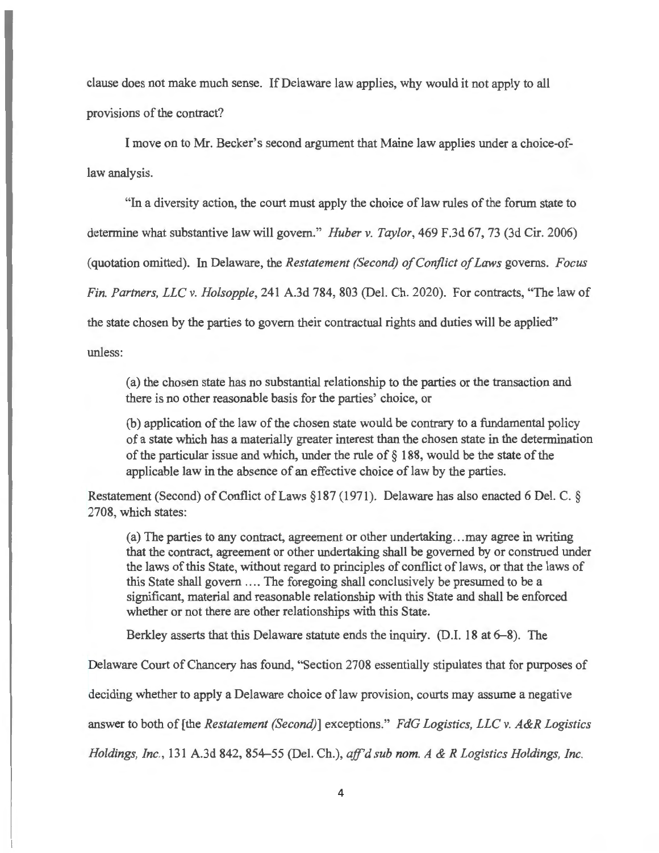clause does not make much sense. If Delaware law applies, why would it not apply to all provisions of the contract?

I move on to Mr. Becker's second argument that Maine law applies under a choice-oflaw analysis.

"In a diversity action, the court must apply the choice of law rules of the forum state to

determine what substantive law will govern." *Huber v. Taylor,* 469 F.3d 67, 73 (3d Cir. 2006)

(quotation omitted). In Delaware, the *Restatement (Second) of Conflict of Laws* governs. *Focus* 

*Fin. Partners, LLC v. Holsopple,* 241 A.3d 784, 803 (Del. Ch. 2020). For contracts, "The law of

the state chosen by the parties to govern their contractual rights and duties will be applied"

unless:

(a) the chosen state has no substantial relationship to the parties or the transaction and there is no other reasonable basis for the parties' choice, or

(b) application of the law of the chosen state would be contrary to a fundamental policy of a state which has a materially greater interest than the chosen state in the determination of the particular issue and which, under the rule of§ 188, would be the state of the applicable law in the absence of an effective choice of law by the parties.

Restatement (Second) of Conflict of Laws § 187 ( 1971 ). Delaware has also enacted 6 Del. C. § 2708, which states:

(a) The parties to any contract, agreement or other undertaking .. . may agree in writing that the contract, agreement or other undertaking shall be governed by or construed under the laws of this State, without regard to principles of conflict of laws, or that the laws of this State shall govern .... The foregoing shall conclusively be presumed to be a significant, material and reasonable relationship with this State and shall be enforced whether or not there are other relationships with this State.

Berkley asserts that this Delaware statute ends the inquiry. (D.I. 18 at 6–8). The

Delaware Court of Chancery has found, "Section 2708 essentially stipulates that for purposes of

deciding whether to apply a Delaware choice of law provision, courts may assume a negative

answer to both of [the *Restatement (Second)]* exceptions." *FdG Logistics, LLC v. A&R Logistics* 

*Holdings, Inc. ,* 131 A.3d 842, 854-55 (Del. Ch.), *aff'd sub nom. A & R Logistics Holdings, Inc.*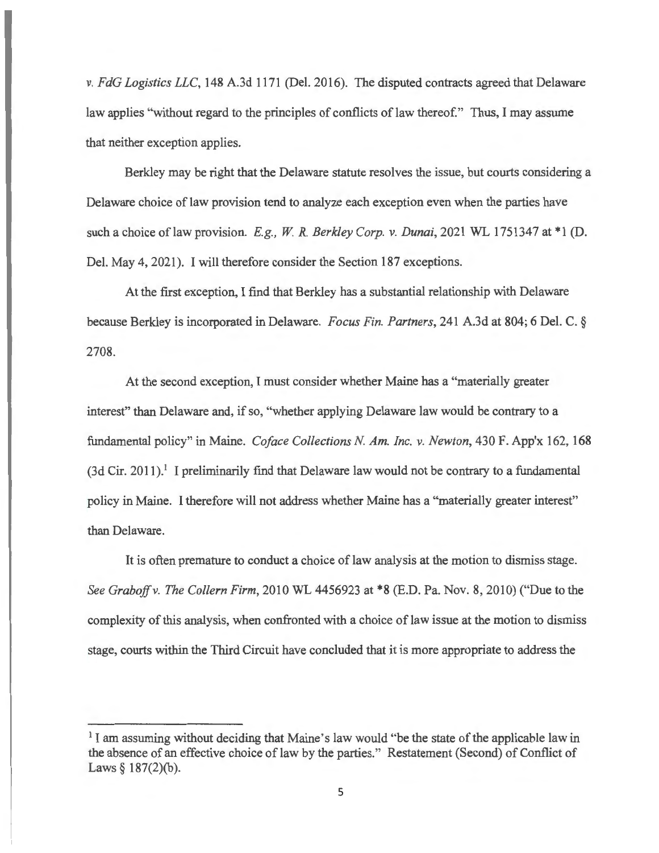*v. FdG Logistics LLC,* 148 A.3d 1171 (Del. 2016). The disputed contracts agreed that Delaware law applies "without regard to the principles of conflicts of law thereof." Thus, I may assume that neither exception applies.

Berkley may be right that the Delaware statute resolves the issue, but courts considering a Delaware choice of law provision tend to analyze each exception even when the parties have such a choice of law provision. *E.g.*, *W. R. Berkley Corp. v. Dunai*, 2021 WL 1751347 at \*1 (D. Del. May 4, 2021). I will therefore consider the Section 187 exceptions.

At the first exception, I find that Berkley has a substantial relationship with Delaware because Berkley is incorporated in Delaware. *Focus Fin. Partners,* 241 A.3d at 804; 6 Del. C. § 2708.

At the second exception, I must consider whether Maine has a "materially greater interest" than Delaware and, if so, "whether applying Delaware law would be contrary to a fundamental policy" in Maine. *Coface Collections N Am. Inc. v. Newton,* 430 F. App'x 162, 168  $(3d Cir. 2011).$ <sup>1</sup> I preliminarily find that Delaware law would not be contrary to a fundamental policy in Maine. I therefore will not address whether Maine has a "materially greater interest" than Delaware.

It is often premature to conduct a choice of law analysis at the motion to dismiss stage. *See Graboffv. The Collern Firm,* 2010 WL 4456923 at \*8 (E.D. Pa. Nov. 8, 2010) ("Due to the complexity of this analysis, when confronted with a choice of law issue at the motion to dismiss stage, courts within the Third Circuit have concluded that it is more appropriate to address the

 $<sup>1</sup>$  I am assuming without deciding that Maine's law would "be the state of the applicable law in</sup> the absence of an effective choice of law by the parties." Restatement (Second) of Conflict of Laws  $§$  187(2)(b).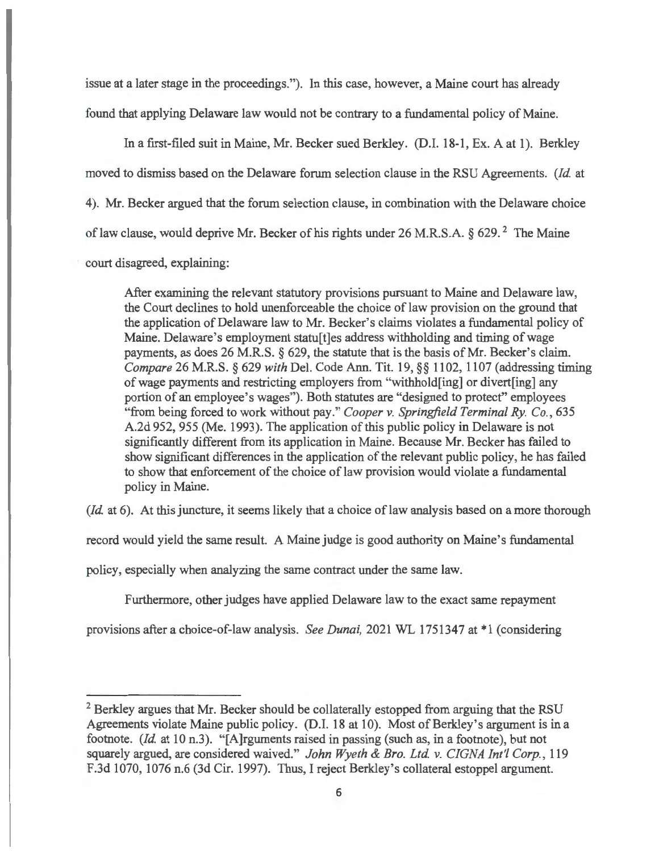issue at a later stage in the proceedings."). In this case, however, a Maine court has already found that applying Delaware law would not be contrary to a fundamental policy of Maine.

In a first-filed suit in Maine, Mr. Becker sued Berkley. (D.I. 18-1, Ex. A at 1). Berkley moved to dismiss based on the Delaware forum selection clause in the RSU Agreements. *(Id.* at 4). Mr. Becker argued that the forum selection clause, in combination with the Delaware choice of law clause, would deprive Mr. Becker of his rights under 26 M.R.S.A. § 629.<sup>2</sup> The Maine court disagreed, explaining:

After examining the relevant statutory provisions pursuant to Maine and Delaware law, the Court declines to hold unenforceable the choice of law provision on the ground that the application of Delaware law to Mr. Becker's claims violates a fundamental policy of Maine. Delaware's employment statu[t]es address withholding and timing of wage payments, as does 26 M.R.S. § 629, the statute that is the basis of Mr. Becker's claim. *Compare* 26 M.R.S. § 629 *with* Del. Code Ann. Tit. 19, §§ 1102, 1107 (addressing timing of wage payments and restricting employers from "withhold[ing] or divert[ing] any portion of an employee's wages"). Both statutes are "designed to protect" employees "from being forced to work without pay." *Cooper v. Springfield Terminal Ry. Co. ,* 635 A.2d 952, 955 (Me. 1993). The application of this public policy in Delaware is not significantly different from its application in Maine. Because Mr. Becker has failed to show significant differences in the application of the relevant public policy, he has failed to show that enforcement of the choice of law provision would violate a fundamental policy in Maine.

*(Id.* at 6). At this juncture, it seems likely that a choice of law analysis based on a more thorough

record would yield the same result. A Maine judge is good authority on Maine's fundamental

policy, especially when analyzing the same contract under the same law.

Furthermore, other judges have applied Delaware law to the exact same repayment

provisions after a choice-of-law analysis. *See Dunai*, 2021 WL 1751347 at \*1 (considering

<sup>&</sup>lt;sup>2</sup> Berkley argues that Mr. Becker should be collaterally estopped from arguing that the RSU Agreements violate Maine public policy. (D.I. 18 at 10). Most of Berkley's argument is in a footnote. *(Id.* at 10 n.3). "[A]rguments raised in passing (such as, in a footnote), but not squarely argued, are considered waived." *John Wyeth & Bro. Ltd. v. CIGNA Int'! Corp.,* 119 F.3d 1070, 1076 n.6 (3d Cir. 1997). Thus, I reject Berkley's collateral estoppel argument.